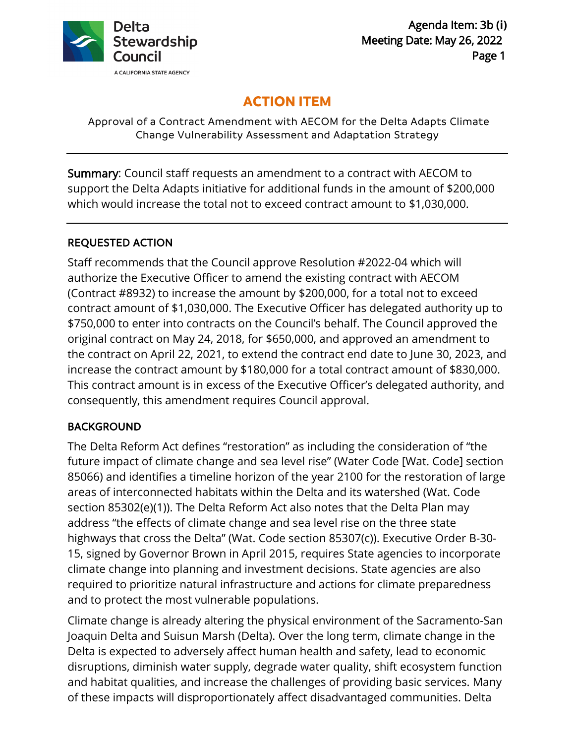

# **ACTION ITEM**

Approval of a Contract Amendment with AECOM for the Delta Adapts Climate Change Vulnerability Assessment and Adaptation Strategy

Summary: Council staff requests an amendment to a contract with AECOM to support the Delta Adapts initiative for additional funds in the amount of \$200,000 which would increase the total not to exceed contract amount to \$1,030,000.

## REQUESTED ACTION

Staff recommends that the Council approve Resolution #2022-04 which will authorize the Executive Officer to amend the existing contract with AECOM (Contract #8932) to increase the amount by \$200,000, for a total not to exceed contract amount of \$1,030,000. The Executive Officer has delegated authority up to \$750,000 to enter into contracts on the Council's behalf. The Council approved the original contract on May 24, 2018, for \$650,000, and approved an amendment to the contract on April 22, 2021, to extend the contract end date to June 30, 2023, and increase the contract amount by \$180,000 for a total contract amount of \$830,000. This contract amount is in excess of the Executive Officer's delegated authority, and consequently, this amendment requires Council approval.

## BACKGROUND

The Delta Reform Act defines "restoration" as including the consideration of "the future impact of climate change and sea level rise" (Water Code [Wat. Code] section 85066) and identifies a timeline horizon of the year 2100 for the restoration of large areas of interconnected habitats within the Delta and its watershed (Wat. Code section 85302(e)(1)). The Delta Reform Act also notes that the Delta Plan may address "the effects of climate change and sea level rise on the three state highways that cross the Delta" (Wat. Code section 85307(c)). Executive Order B-30- 15, signed by Governor Brown in April 2015, requires State agencies to incorporate climate change into planning and investment decisions. State agencies are also required to prioritize natural infrastructure and actions for climate preparedness and to protect the most vulnerable populations.

Climate change is already altering the physical environment of the Sacramento-San Joaquin Delta and Suisun Marsh (Delta). Over the long term, climate change in the Delta is expected to adversely affect human health and safety, lead to economic disruptions, diminish water supply, degrade water quality, shift ecosystem function and habitat qualities, and increase the challenges of providing basic services. Many of these impacts will disproportionately affect disadvantaged communities. Delta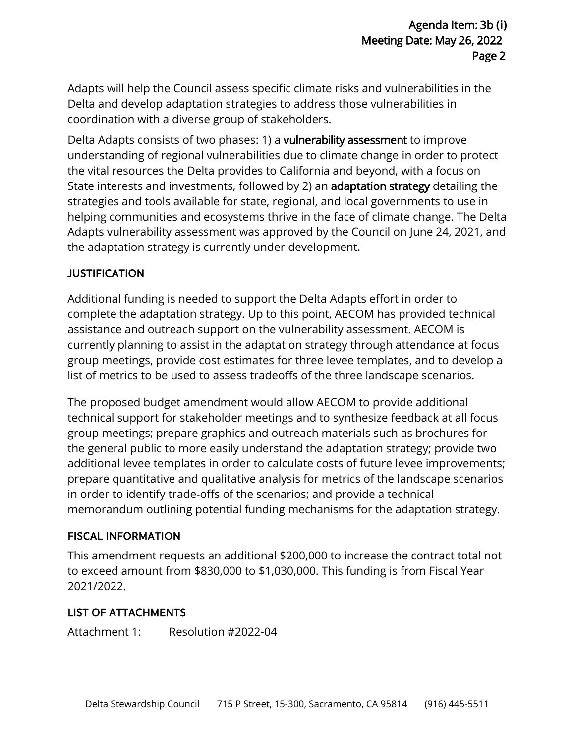Adapts will help the Council assess specific climate risks and vulnerabilities in the Delta and develop adaptation strategies to address those vulnerabilities in coordination with a diverse group of stakeholders.

Delta Adapts consists of two phases: 1) a vulnerability assessment to improve understanding of regional vulnerabilities due to climate change in order to protect the vital resources the Delta provides to California and beyond, with a focus on State interests and investments, followed by 2) an adaptation strategy detailing the strategies and tools available for state, regional, and local governments to use in helping communities and ecosystems thrive in the face of climate change. The Delta Adapts vulnerability assessment was approved by the Council on June 24, 2021, and the adaptation strategy is currently under development.

## JUSTIFICATION

Additional funding is needed to support the Delta Adapts effort in order to complete the adaptation strategy. Up to this point, AECOM has provided technical assistance and outreach support on the vulnerability assessment. AECOM is currently planning to assist in the adaptation strategy through attendance at focus group meetings, provide cost estimates for three levee templates, and to develop a list of metrics to be used to assess tradeoffs of the three landscape scenarios.

The proposed budget amendment would allow AECOM to provide additional technical support for stakeholder meetings and to synthesize feedback at all focus group meetings; prepare graphics and outreach materials such as brochures for the general public to more easily understand the adaptation strategy; provide two additional levee templates in order to calculate costs of future levee improvements; prepare quantitative and qualitative analysis for metrics of the landscape scenarios in order to identify trade-offs of the scenarios; and provide a technical memorandum outlining potential funding mechanisms for the adaptation strategy.

#### FISCAL INFORMATION

This amendment requests an additional \$200,000 to increase the contract total not to exceed amount from \$830,000 to \$1,030,000. This funding is from Fiscal Year 2021/2022.

## LIST OF ATTACHMENTS

Attachment 1: Resolution #2022-04